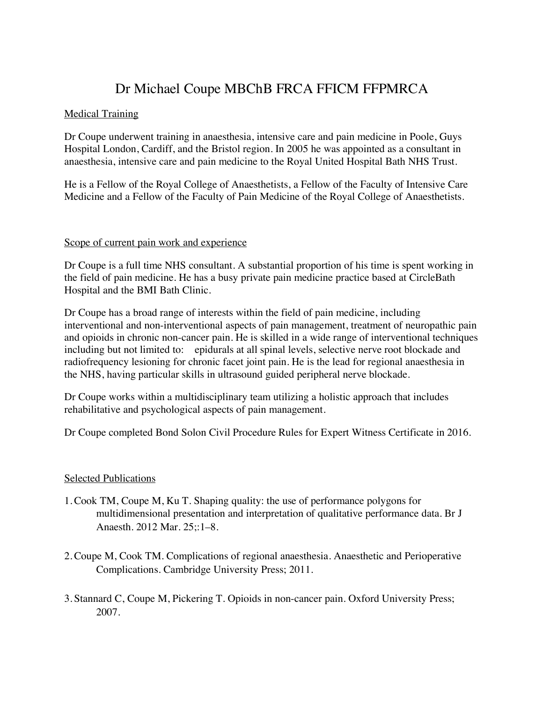# Dr Michael Coupe MBChB FRCA FFICM FFPMRCA

## Medical Training

Dr Coupe underwent training in anaesthesia, intensive care and pain medicine in Poole, Guys Hospital London, Cardiff, and the Bristol region. In 2005 he was appointed as a consultant in anaesthesia, intensive care and pain medicine to the Royal United Hospital Bath NHS Trust.

He is a Fellow of the Royal College of Anaesthetists, a Fellow of the Faculty of Intensive Care Medicine and a Fellow of the Faculty of Pain Medicine of the Royal College of Anaesthetists.

#### Scope of current pain work and experience

Dr Coupe is a full time NHS consultant. A substantial proportion of his time is spent working in the field of pain medicine. He has a busy private pain medicine practice based at CircleBath Hospital and the BMI Bath Clinic.

Dr Coupe has a broad range of interests within the field of pain medicine, including interventional and non-interventional aspects of pain management, treatment of neuropathic pain and opioids in chronic non-cancer pain. He is skilled in a wide range of interventional techniques including but not limited to: epidurals at all spinal levels, selective nerve root blockade and radiofrequency lesioning for chronic facet joint pain. He is the lead for regional anaesthesia in the NHS, having particular skills in ultrasound guided peripheral nerve blockade.

Dr Coupe works within a multidisciplinary team utilizing a holistic approach that includes rehabilitative and psychological aspects of pain management.

Dr Coupe completed Bond Solon Civil Procedure Rules for Expert Witness Certificate in 2016.

### Selected Publications

- 1. Cook TM, Coupe M, Ku T. Shaping quality: the use of performance polygons for multidimensional presentation and interpretation of qualitative performance data. Br J Anaesth. 2012 Mar. 25;:1–8.
- 2. Coupe M, Cook TM. Complications of regional anaesthesia. Anaesthetic and Perioperative Complications. Cambridge University Press; 2011.
- 3. Stannard C, Coupe M, Pickering T. Opioids in non-cancer pain. Oxford University Press; 2007.